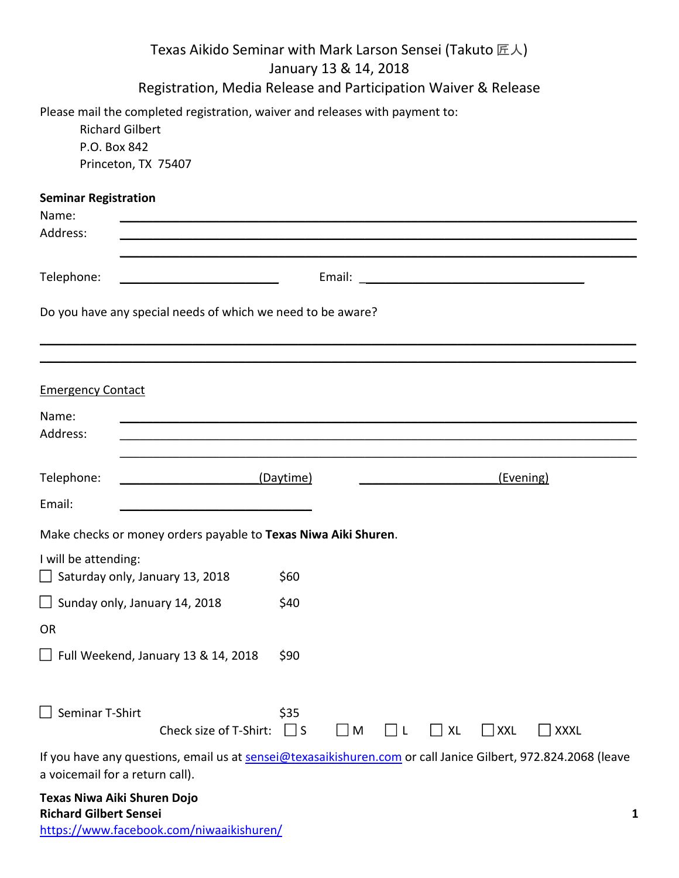| Texas Aikido Seminar with Mark Larson Sensei (Takuto 匠人)<br>January 13 & 14, 2018<br>Registration, Media Release and Participation Waiver & Release |                                                                                                                               |                  |           |   |    |            |             |  |
|-----------------------------------------------------------------------------------------------------------------------------------------------------|-------------------------------------------------------------------------------------------------------------------------------|------------------|-----------|---|----|------------|-------------|--|
| P.O. Box 842                                                                                                                                        | Please mail the completed registration, waiver and releases with payment to:<br><b>Richard Gilbert</b><br>Princeton, TX 75407 |                  |           |   |    |            |             |  |
| <b>Seminar Registration</b><br>Name:<br>Address:                                                                                                    |                                                                                                                               |                  |           |   |    |            |             |  |
|                                                                                                                                                     |                                                                                                                               |                  |           |   |    |            |             |  |
| Telephone:                                                                                                                                          | Email: <u>International Communication</u>                                                                                     |                  |           |   |    |            |             |  |
| Do you have any special needs of which we need to be aware?                                                                                         |                                                                                                                               |                  |           |   |    |            |             |  |
|                                                                                                                                                     |                                                                                                                               |                  |           |   |    |            |             |  |
| <b>Emergency Contact</b>                                                                                                                            |                                                                                                                               |                  |           |   |    |            |             |  |
| Name:<br>Address:                                                                                                                                   |                                                                                                                               |                  |           |   |    |            |             |  |
| Telephone:                                                                                                                                          | (Daytime)                                                                                                                     |                  | (Evening) |   |    |            |             |  |
| Email:                                                                                                                                              |                                                                                                                               |                  |           |   |    |            |             |  |
|                                                                                                                                                     | Make checks or money orders payable to Texas Niwa Aiki Shuren.                                                                |                  |           |   |    |            |             |  |
| I will be attending:<br>Saturday only, January 13, 2018                                                                                             |                                                                                                                               | \$60             |           |   |    |            |             |  |
| Sunday only, January 14, 2018                                                                                                                       |                                                                                                                               | \$40             |           |   |    |            |             |  |
| OR                                                                                                                                                  |                                                                                                                               |                  |           |   |    |            |             |  |
| Full Weekend, January 13 & 14, 2018                                                                                                                 |                                                                                                                               | \$90             |           |   |    |            |             |  |
| Seminar T-Shirt                                                                                                                                     | Check size of T-Shirt:                                                                                                        | \$35<br>$\Box$ S | $\Box$ M  | L | XL | $\Box$ XXL | <b>XXXL</b> |  |
| a voicemail for a return call).                                                                                                                     | If you have any questions, email us at sensei@texasaikishuren.com or call Janice Gilbert, 972.824.2068 (leave                 |                  |           |   |    |            |             |  |
|                                                                                                                                                     |                                                                                                                               |                  |           |   |    |            |             |  |

**Texas Niwa Aiki Shuren Dojo Richard Gilbert Sensei 1** https://www.facebook.com/niwaaikishuren/